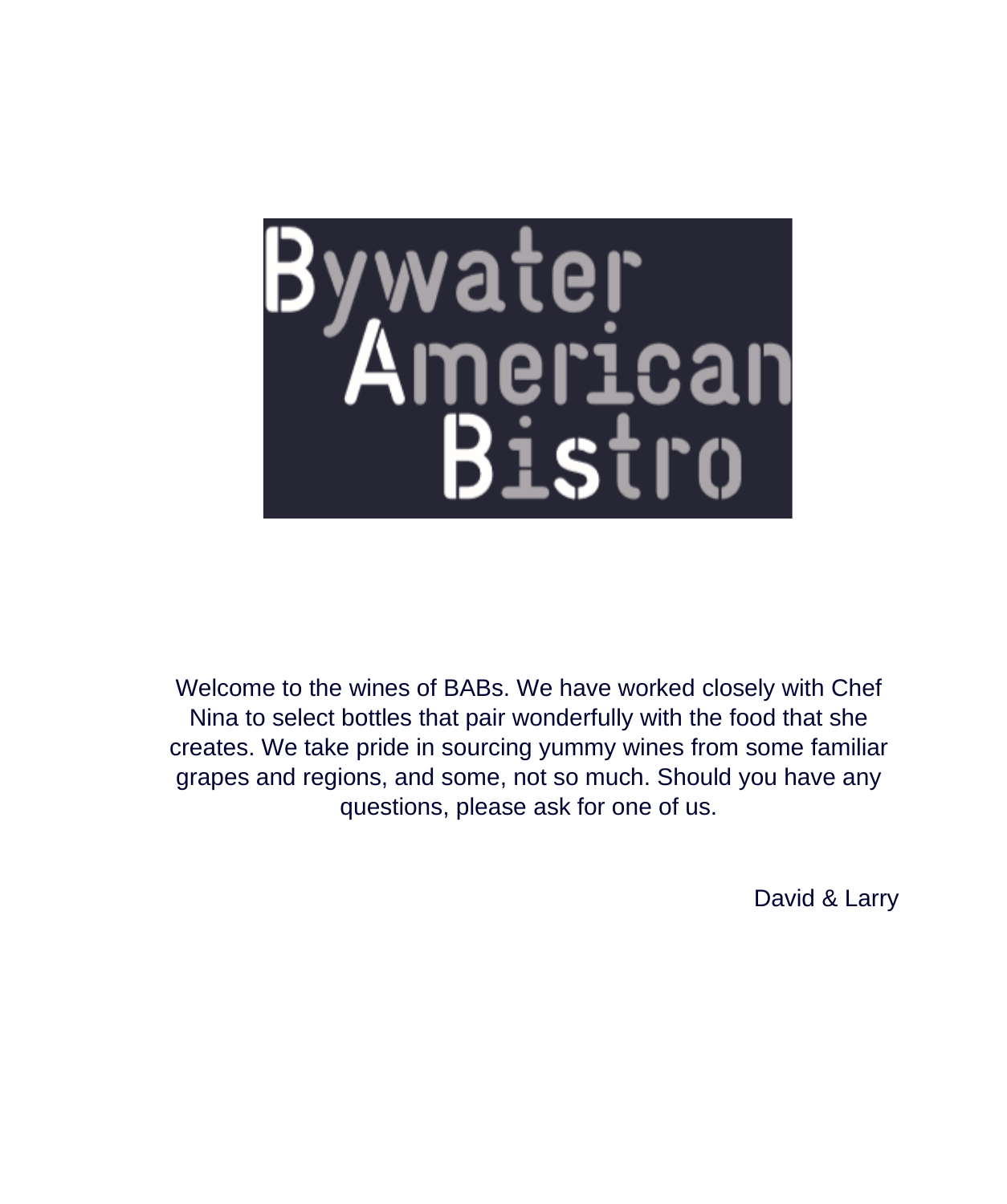

Welcome to the wines of BABs. We have worked closely with Chef Nina to select bottles that pair wonderfully with the food that she creates. We take pride in sourcing yummy wines from some familiar grapes and regions, and some, not so much. Should you have any questions, please ask for one of us.

David & Larry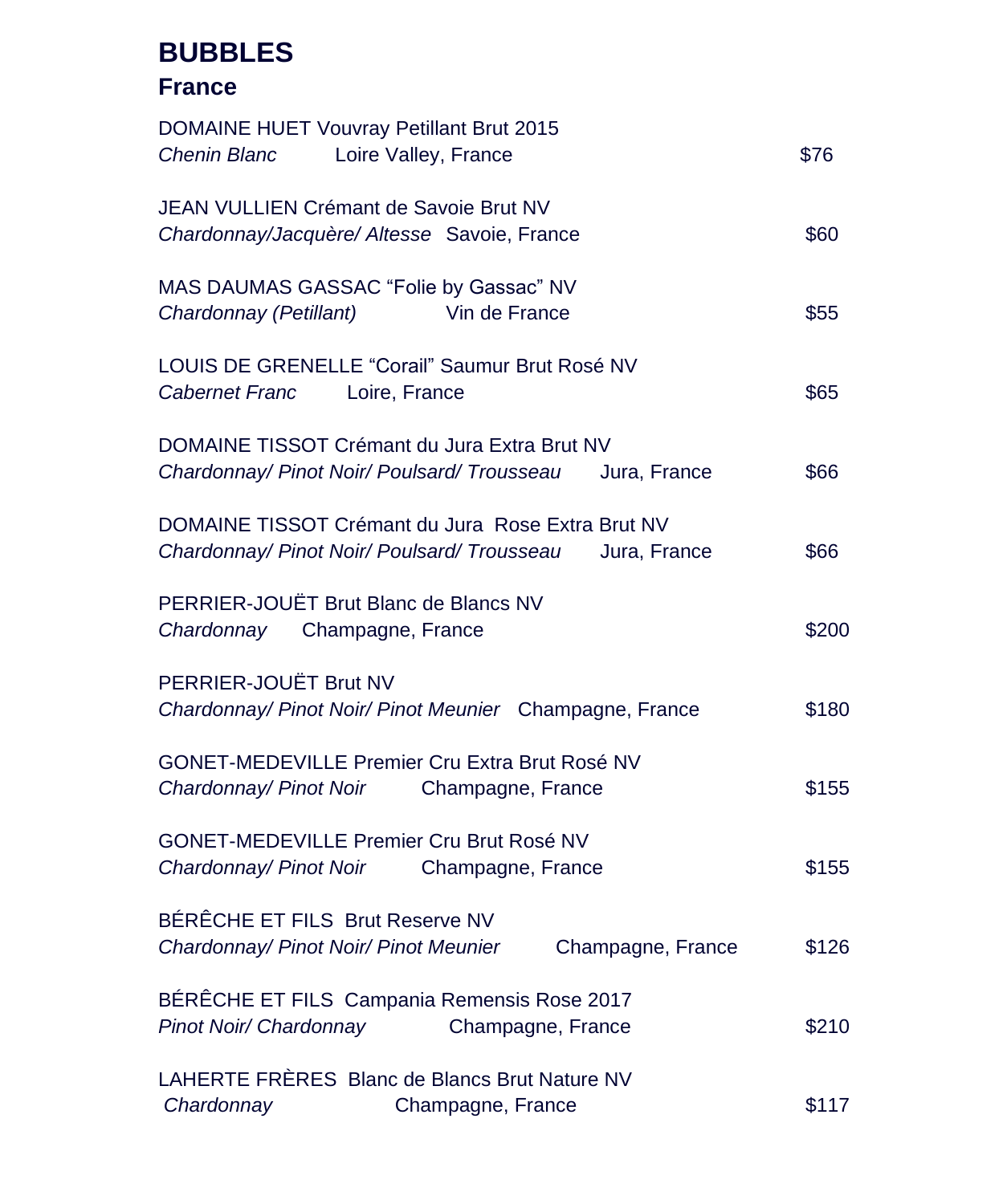## **BUBBLES**

### **France**

| DOMAINE HUET Vouvray Petillant Brut 2015                    |       |
|-------------------------------------------------------------|-------|
| Loire Valley, France<br>Chenin Blanc                        | \$76  |
| JEAN VULLIEN Crémant de Savoie Brut NV                      |       |
| Chardonnay/Jacquère/ Altesse Savoie, France                 | \$60  |
| MAS DAUMAS GASSAC "Folie by Gassac" NV                      |       |
| Chardonnay (Petillant)<br>Vin de France                     | \$55  |
| LOUIS DE GRENELLE "Corail" Saumur Brut Rosé NV              |       |
| <b>Cabernet Franc</b><br>Loire, France                      | \$65  |
| DOMAINE TISSOT Crémant du Jura Extra Brut NV                |       |
| Chardonnay/ Pinot Noir/ Poulsard/ Trousseau<br>Jura, France | \$66  |
| DOMAINE TISSOT Crémant du Jura Rose Extra Brut NV           |       |
| Chardonnay/ Pinot Noir/ Poulsard/ Trousseau<br>Jura, France | \$66  |
| PERRIER-JOUËT Brut Blanc de Blancs NV                       |       |
| Chardonnay Champagne, France                                | \$200 |
| PERRIER-JOUËT Brut NV                                       |       |
| Chardonnay/ Pinot Noir/ Pinot Meunier Champagne, France     | \$180 |
| GONET-MEDEVILLE Premier Cru Extra Brut Rosé NV              |       |
| Chardonnay/ Pinot Noir<br>Champagne, France                 | \$155 |
| GONET-MEDEVILLE Premier Cru Brut Rosé NV                    |       |
| Chardonnay/ Pinot Noir<br>Champagne, France                 | \$155 |
| BÉRÊCHE ET FILS Brut Reserve NV                             |       |
| Chardonnay/ Pinot Noir/ Pinot Meunier<br>Champagne, France  | \$126 |
| BÉRÊCHE ET FILS Campania Remensis Rose 2017                 |       |
| Pinot Noir/ Chardonnay<br>Champagne, France                 | \$210 |
| LAHERTE FRÈRES Blanc de Blancs Brut Nature NV               |       |
| Chardonnay<br>Champagne, France                             | \$117 |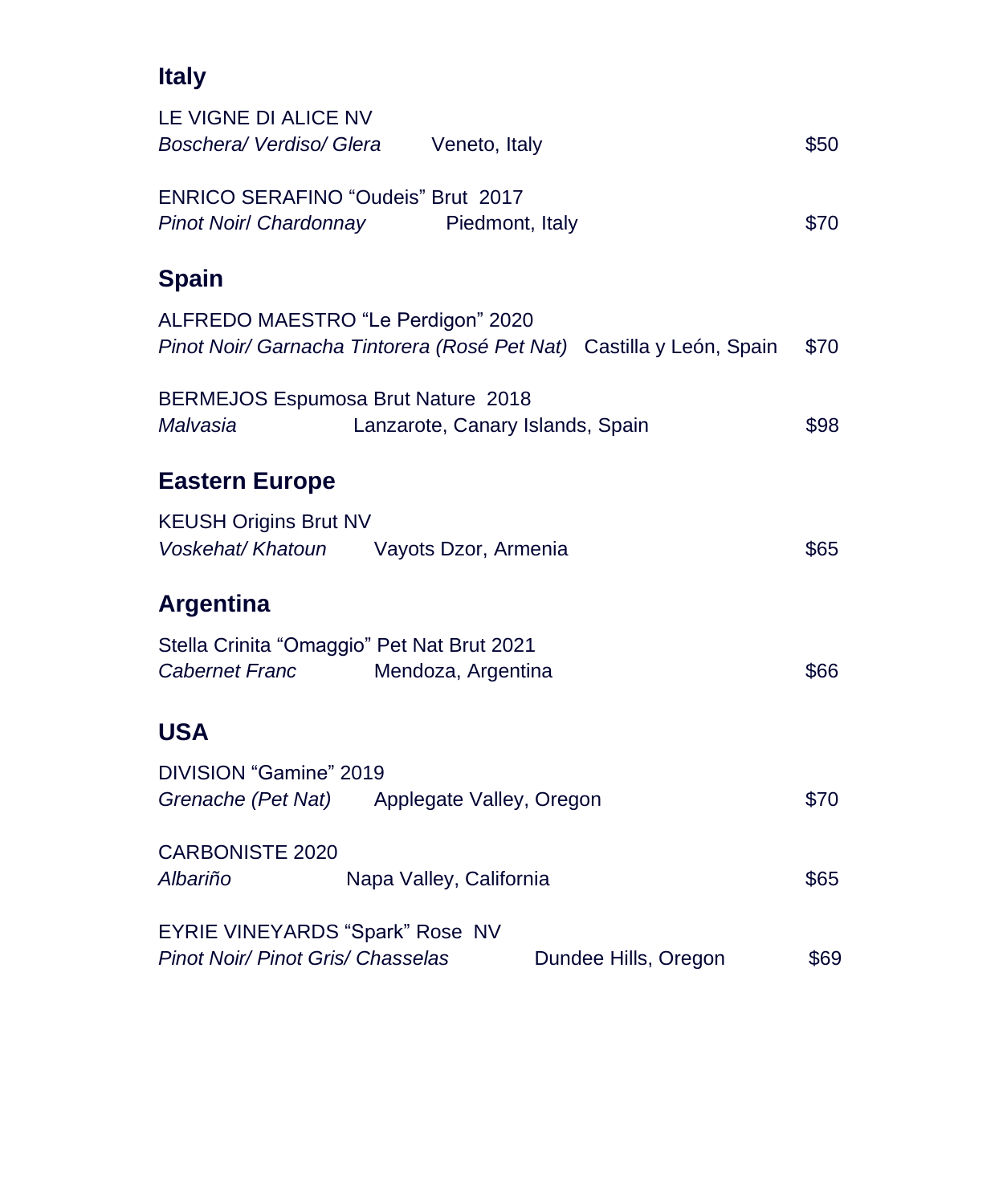| <b>Italy</b>                                                          |                                                                      |      |
|-----------------------------------------------------------------------|----------------------------------------------------------------------|------|
| LE VIGNE DI ALICE NV<br>Boschera/Verdiso/Glera                        | Veneto, Italy                                                        | \$50 |
| ENRICO SERAFINO "Oudeis" Brut 2017<br><b>Pinot Noir/ Chardonnay</b>   | Piedmont, Italy                                                      | \$70 |
| <b>Spain</b>                                                          |                                                                      |      |
| ALFREDO MAESTRO "Le Perdigon" 2020                                    | Pinot Noir/ Garnacha Tintorera (Rosé Pet Nat) Castilla y León, Spain | \$70 |
| BERMEJOS Espumosa Brut Nature 2018<br>Malvasia                        | Lanzarote, Canary Islands, Spain                                     | \$98 |
| <b>Eastern Europe</b>                                                 |                                                                      |      |
| <b>KEUSH Origins Brut NV</b><br>Voskehat/ Khatoun                     | Vayots Dzor, Armenia                                                 | \$65 |
| <b>Argentina</b>                                                      |                                                                      |      |
| Stella Crinita "Omaggio" Pet Nat Brut 2021<br><b>Cabernet Franc</b>   | Mendoza, Argentina                                                   | \$66 |
| <b>USA</b>                                                            |                                                                      |      |
| DIVISION "Gamine" 2019<br>Grenache (Pet Nat) Applegate Valley, Oregon |                                                                      | \$70 |
| <b>CARBONISTE 2020</b><br>Albariño                                    | Napa Valley, California                                              | \$65 |
| EYRIE VINEYARDS "Spark" Rose NV<br>Pinot Noir/ Pinot Gris/ Chasselas  | Dundee Hills, Oregon                                                 | \$69 |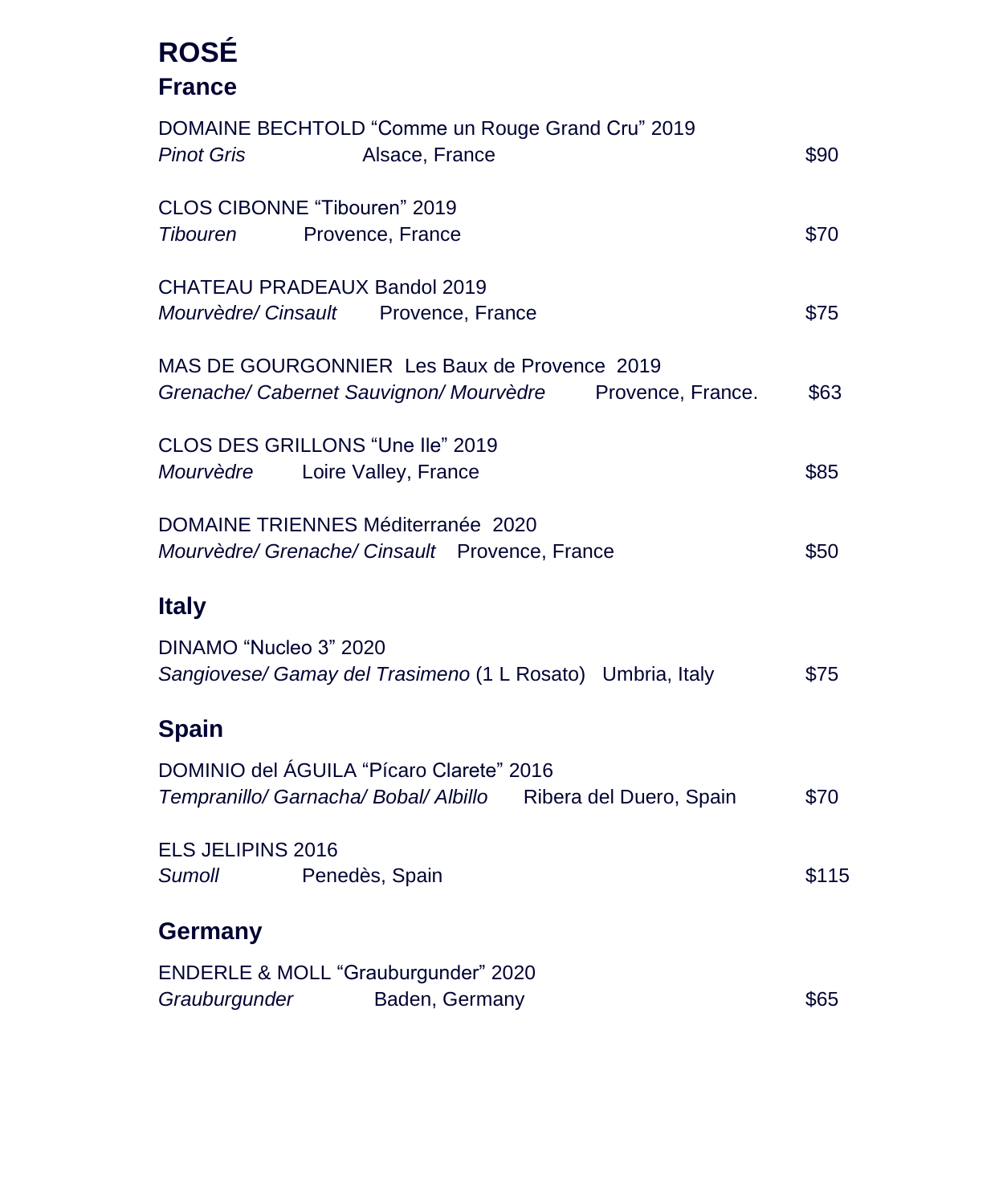# **ROSÉ France**

| DOMAINE BECHTOLD "Comme un Rouge Grand Cru" 2019<br><b>Pinot Gris</b><br>Alsace, France                      | \$90  |
|--------------------------------------------------------------------------------------------------------------|-------|
| CLOS CIBONNE "Tibouren" 2019<br><b>Tibouren</b><br>Provence, France                                          | \$70  |
| CHATEAU PRADEAUX Bandol 2019<br>Mourvèdre/ Cinsault<br>Provence, France                                      | \$75  |
| MAS DE GOURGONNIER Les Baux de Provence 2019<br>Grenache/ Cabernet Sauvignon/ Mourvèdre<br>Provence, France. | \$63  |
| CLOS DES GRILLONS "Une lle" 2019<br>Mourvèdre Loire Valley, France                                           | \$85  |
| DOMAINE TRIENNES Méditerranée 2020<br>Mourvèdre/ Grenache/ Cinsault Provence, France                         | \$50  |
| <b>Italy</b>                                                                                                 |       |
| DINAMO "Nucleo 3" 2020<br>Sangiovese/ Gamay del Trasimeno (1 L Rosato) Umbria, Italy                         | \$75  |
| <b>Spain</b>                                                                                                 |       |
| DOMINIO del ÁGUILA "Pícaro Clarete" 2016<br>Tempranillo/ Garnacha/ Bobal/ Albillo Ribera del Duero, Spain    | \$70  |
| ELS JELIPINS 2016<br><b>Sumoll</b><br>Penedès, Spain                                                         | \$115 |
| <b>Germany</b>                                                                                               |       |
| ENDERLE & MOLL "Grauburgunder" 2020<br>Grauburgunder<br>Baden, Germany                                       | \$65  |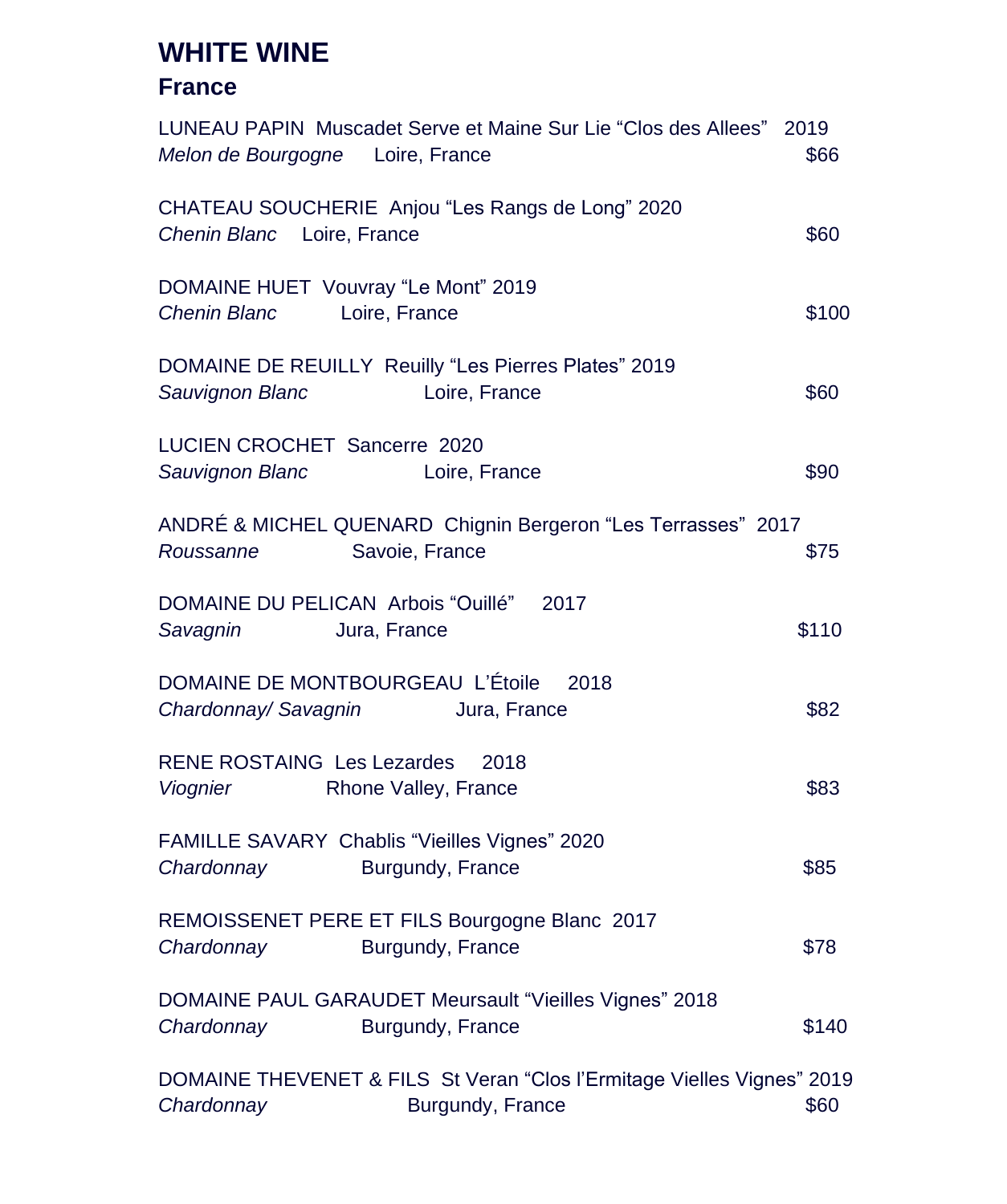## **WHITE WINE**

#### **France**

| LUNEAU PAPIN Muscadet Serve et Maine Sur Lie "Clos des Allees" 2019<br>Melon de Bourgogne Loire, France  | \$66  |
|----------------------------------------------------------------------------------------------------------|-------|
| CHATEAU SOUCHERIE Anjou "Les Rangs de Long" 2020<br>Chenin Blanc Loire, France                           | \$60  |
| DOMAINE HUET Vouvray "Le Mont" 2019<br><b>Chenin Blanc</b><br>Loire, France                              | \$100 |
| DOMAINE DE REUILLY Reuilly "Les Pierres Plates" 2019<br>Sauvignon Blanc<br>Loire, France                 | \$60  |
| LUCIEN CROCHET Sancerre 2020<br>Sauvignon Blanc<br>Loire, France                                         | \$90  |
| ANDRÉ & MICHEL QUENARD Chignin Bergeron "Les Terrasses" 2017<br>Savoie, France<br>Roussanne              | \$75  |
| DOMAINE DU PELICAN Arbois "Ouillé" 2017<br>Savagnin<br>Jura, France                                      | \$110 |
| DOMAINE DE MONTBOURGEAU L'Étoile<br>2018<br>Chardonnay/ Savagnin<br>Jura, France                         | \$82  |
| <b>RENE ROSTAING Les Lezardes</b><br>2018<br>Viognier<br>Rhone Valley, France                            | \$83  |
| FAMILLE SAVARY Chablis "Vieilles Vignes" 2020<br>Chardonnay<br>Burgundy, France                          | \$85  |
| REMOISSENET PERE ET FILS Bourgogne Blanc 2017<br>Chardonnay<br>Burgundy, France                          | \$78  |
| <b>DOMAINE PAUL GARAUDET Meursault "Vieilles Vignes" 2018</b><br>Chardonnay<br>Burgundy, France          | \$140 |
| DOMAINE THEVENET & FILS St Veran "Clos l'Ermitage Vielles Vignes" 2019<br>Chardonnay<br>Burgundy, France | \$60  |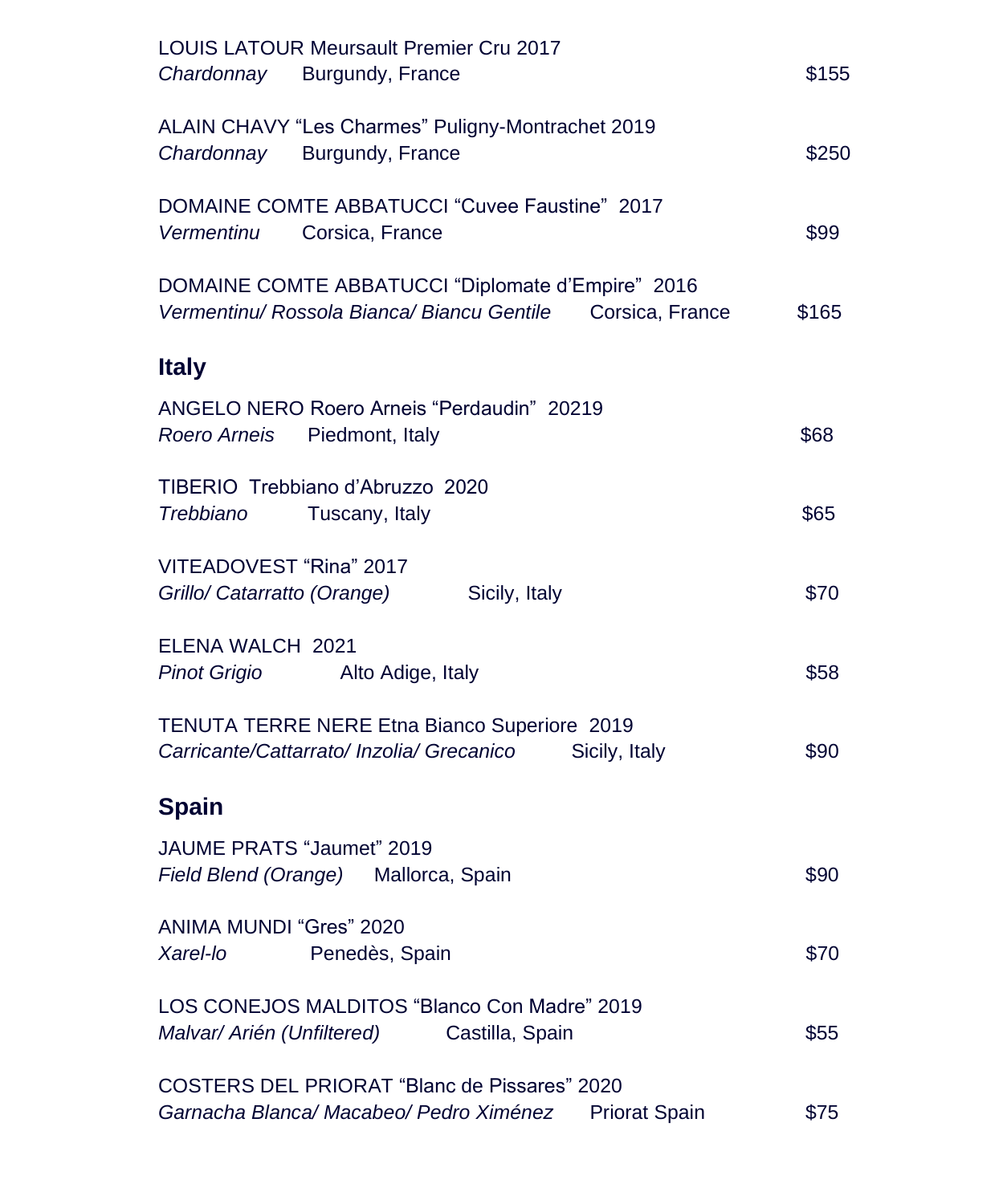| <b>LOUIS LATOUR Meursault Premier Cru 2017</b><br>Chardonnay Burgundy, France                                          | \$155 |
|------------------------------------------------------------------------------------------------------------------------|-------|
| ALAIN CHAVY "Les Charmes" Puligny-Montrachet 2019<br>Burgundy, France<br>Chardonnay                                    | \$250 |
| DOMAINE COMTE ABBATUCCI "Cuvee Faustine" 2017<br>Corsica, France<br><b>Vermentinu</b>                                  | \$99  |
| DOMAINE COMTE ABBATUCCI "Diplomate d'Empire" 2016<br>Vermentinu/ Rossola Bianca/ Biancu Gentile<br>Corsica, France     | \$165 |
| <b>Italy</b>                                                                                                           |       |
| ANGELO NERO Roero Arneis "Perdaudin" 20219<br>Roero Arneis<br>Piedmont, Italy                                          | \$68  |
| TIBERIO Trebbiano d'Abruzzo 2020<br>Trebbiano<br>Tuscany, Italy                                                        | \$65  |
| VITEADOVEST "Rina" 2017<br>Grillo/ Catarratto (Orange)<br>Sicily, Italy                                                | \$70  |
| ELENA WALCH 2021<br><b>Pinot Grigio</b><br>Alto Adige, Italy                                                           | \$58  |
| TENUTA TERRE NERE Etna Bianco Superiore 2019<br>Carricante/Cattarrato/ Inzolia/ Grecanico<br>Sicily, Italy             | \$90  |
| <b>Spain</b>                                                                                                           |       |
| JAUME PRATS "Jaumet" 2019<br>Field Blend (Orange)<br>Mallorca, Spain                                                   | \$90  |
| ANIMA MUNDI "Gres" 2020<br>Xarel-lo<br>Penedès, Spain                                                                  | \$70  |
| LOS CONEJOS MALDITOS "Blanco Con Madre" 2019<br>Malvar/ Arién (Unfiltered)<br>Castilla, Spain                          | \$55  |
| <b>COSTERS DEL PRIORAT "Blanc de Pissares" 2020</b><br>Garnacha Blanca/ Macabeo/ Pedro Ximénez<br><b>Priorat Spain</b> | \$75  |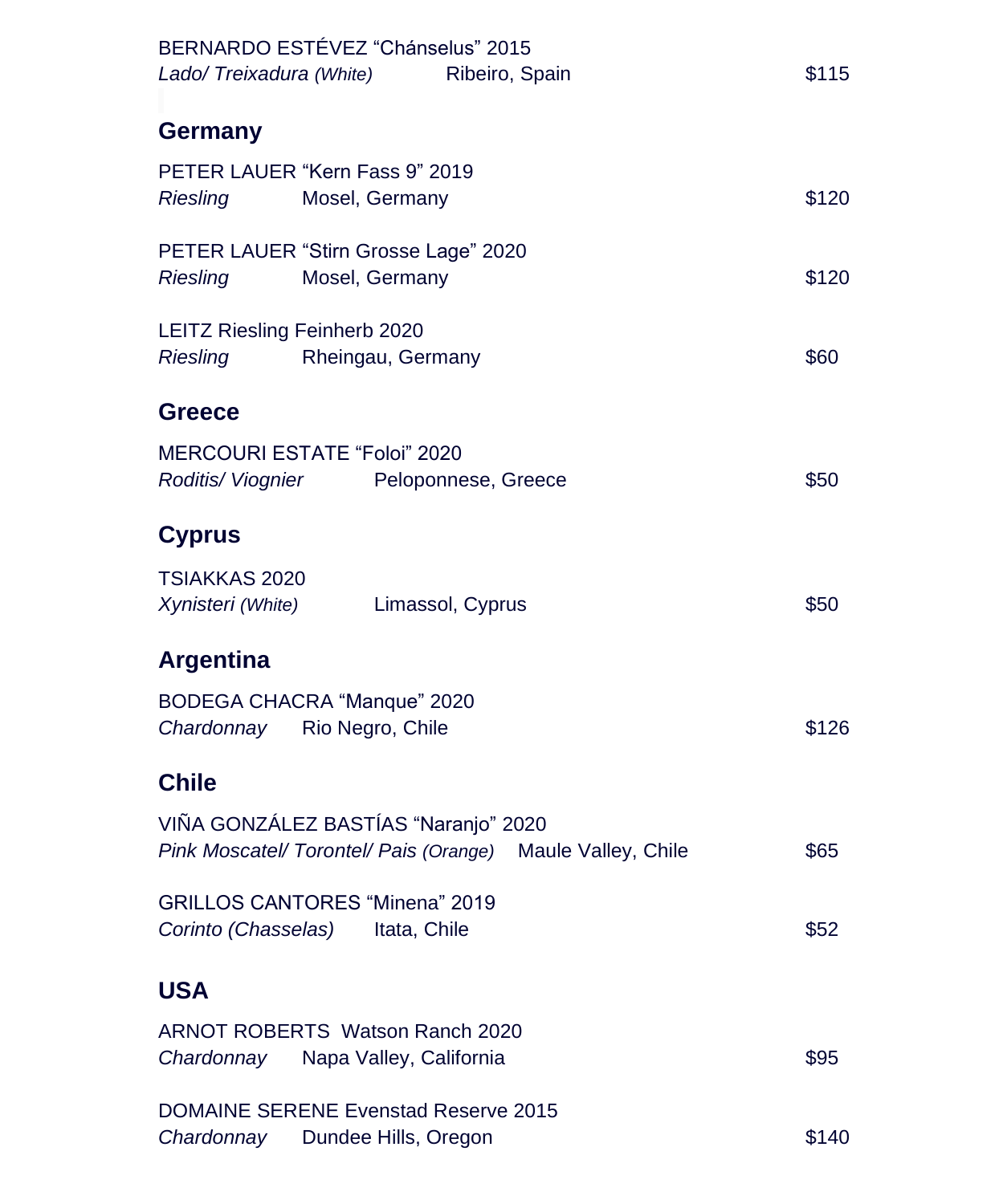| BERNARDO ESTÉVEZ "Chánselus" 2015<br>Lado/Treixadura (White) Ribeiro, Spain                        | \$115 |
|----------------------------------------------------------------------------------------------------|-------|
| Germany                                                                                            |       |
| PETER LAUER "Kern Fass 9" 2019<br>Mosel, Germany<br>Riesling                                       | \$120 |
| PETER LAUER "Stirn Grosse Lage" 2020<br>Riesling<br>Mosel, Germany                                 | \$120 |
| <b>LEITZ Riesling Feinherb 2020</b><br>Riesling<br>Rheingau, Germany                               | \$60  |
| <b>Greece</b>                                                                                      |       |
| <b>MERCOURI ESTATE "Foloi" 2020</b><br>Roditis/Viognier Peloponnese, Greece                        | \$50  |
| <b>Cyprus</b>                                                                                      |       |
| TSIAKKAS 2020<br>Xynisteri (White) Limassol, Cyprus                                                | \$50  |
| <b>Argentina</b>                                                                                   |       |
| BODEGA CHACRA "Manque" 2020<br>Chardonnay Rio Negro, Chile                                         | \$126 |
| <b>Chile</b>                                                                                       |       |
| VIÑA GONZÁLEZ BASTÍAS "Naranjo" 2020<br>Pink Moscatel/ Torontel/ Pais (Orange) Maule Valley, Chile | \$65  |
| <b>GRILLOS CANTORES "Minena" 2019</b><br>Corinto (Chasselas) Itata, Chile                          | \$52  |
| <b>USA</b>                                                                                         |       |
| ARNOT ROBERTS Watson Ranch 2020<br>Chardonnay<br>Napa Valley, California                           | \$95  |
| <b>DOMAINE SERENE Evenstad Reserve 2015</b><br>Chardonnay<br>Dundee Hills, Oregon                  | \$140 |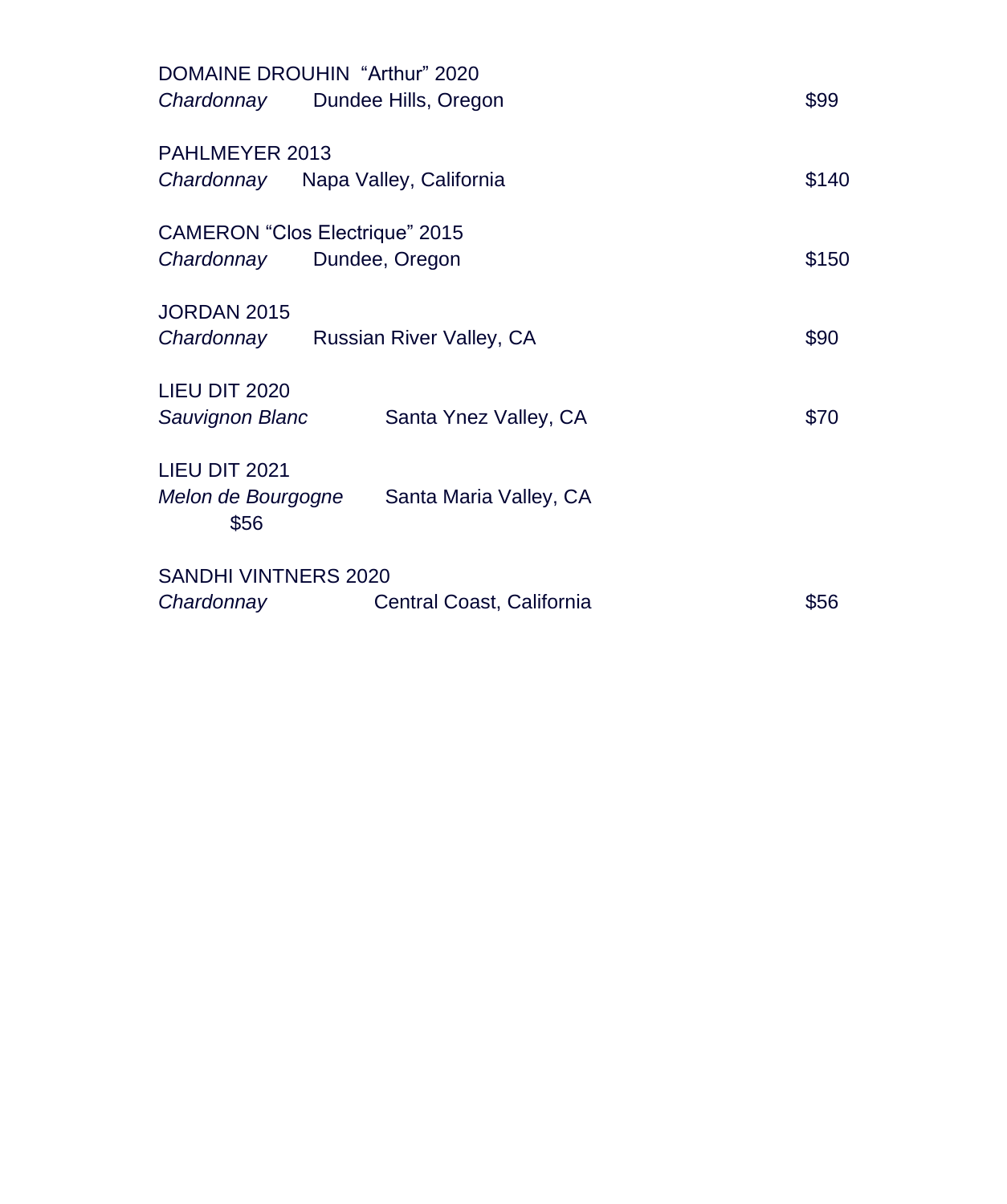| DOMAINE DROUHIN "Arthur" 2020         |                           |       |
|---------------------------------------|---------------------------|-------|
| Chardonnay Dundee Hills, Oregon       |                           | \$99  |
| PAHLMEYER 2013                        |                           |       |
| Chardonnay Napa Valley, California    |                           | \$140 |
| <b>CAMERON "Clos Electrique" 2015</b> |                           |       |
| Chardonnay                            | Dundee, Oregon            | \$150 |
| JORDAN 2015                           |                           |       |
| Chardonnay Russian River Valley, CA   |                           | \$90  |
| LIEU DIT 2020                         |                           |       |
| Sauvignon Blanc                       | Santa Ynez Valley, CA     | \$70  |
| LIEU DIT 2021                         |                           |       |
| Melon de Bourgogne<br>\$56            | Santa Maria Valley, CA    |       |
| SANDHI VINTNERS 2020                  |                           |       |
| Chardonnay                            | Central Coast, California | \$56  |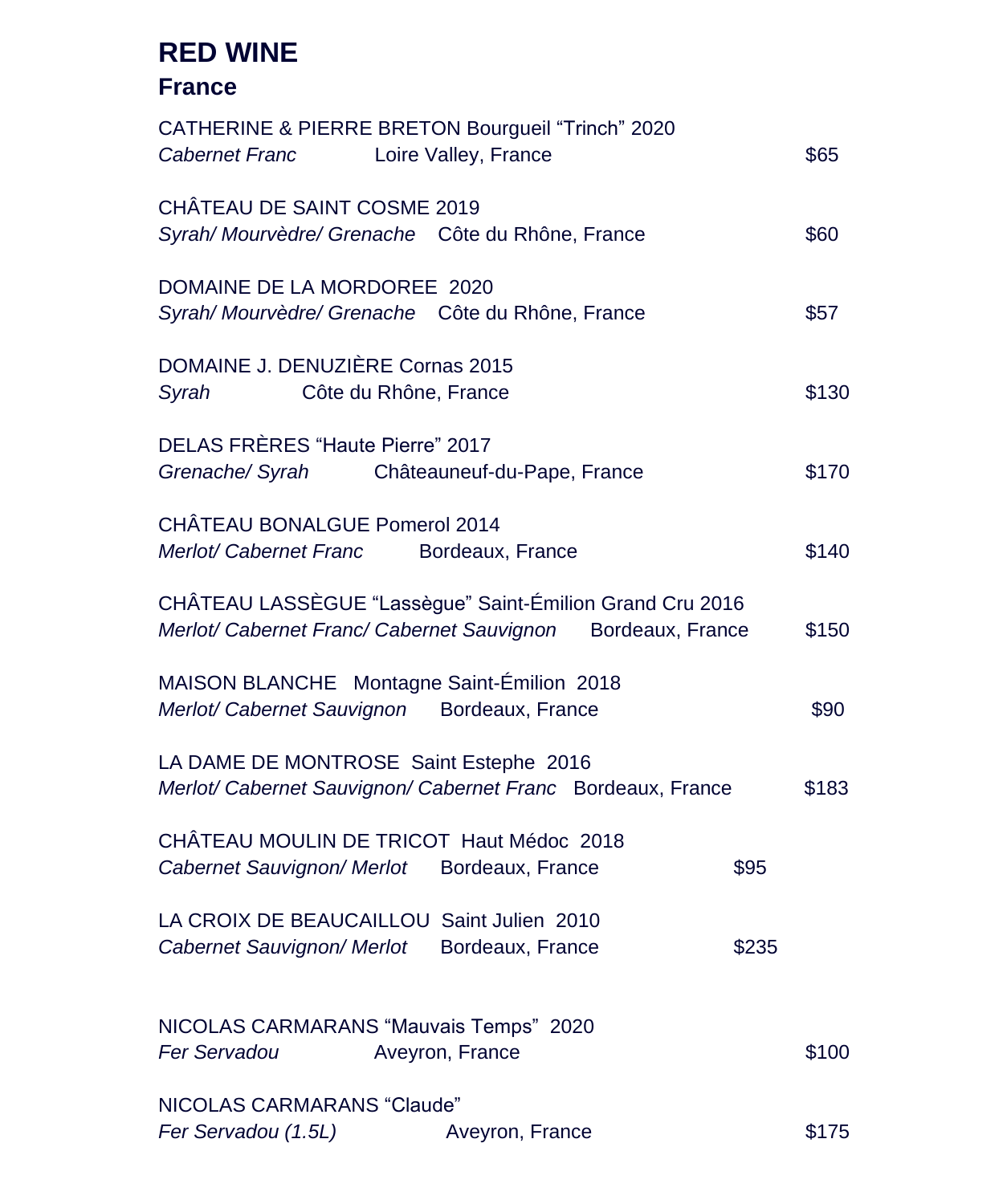#### **RED WINE**

#### **France**

| CATHERINE & PIERRE BRETON Bourgueil "Trinch" 2020<br><b>Cabernet Franc</b><br>Loire Valley, France                         |       | \$65  |
|----------------------------------------------------------------------------------------------------------------------------|-------|-------|
| CHÂTEAU DE SAINT COSME 2019<br>Syrah/ Mourvèdre/ Grenache Côte du Rhône, France                                            |       | \$60  |
| DOMAINE DE LA MORDOREE 2020<br>Syrah/ Mourvèdre/ Grenache Côte du Rhône, France                                            |       | \$57  |
| DOMAINE J. DENUZIÈRE Cornas 2015<br>Syrah<br>Côte du Rhône, France                                                         |       | \$130 |
| DELAS FRÈRES "Haute Pierre" 2017<br>Grenache/ Syrah<br>Châteauneuf-du-Pape, France                                         |       | \$170 |
| CHÂTEAU BONALGUE Pomerol 2014<br>Merlot/ Cabernet Franc<br>Bordeaux, France                                                |       | \$140 |
| CHÂTEAU LASSÈGUE "Lassègue" Saint-Émilion Grand Cru 2016<br>Merlot/ Cabernet Franc/ Cabernet Sauvignon<br>Bordeaux, France |       | \$150 |
| MAISON BLANCHE Montagne Saint-Émilion 2018<br>Merlot/ Cabernet Sauvignon<br>Bordeaux, France                               |       | \$90  |
| LA DAME DE MONTROSE Saint Estephe 2016<br>Merlot/ Cabernet Sauvignon/ Cabernet Franc Bordeaux, France                      |       | \$183 |
| CHÂTEAU MOULIN DE TRICOT Haut Médoc 2018<br>Cabernet Sauvignon/ Merlot Bordeaux, France                                    | \$95  |       |
| LA CROIX DE BEAUCAILLOU Saint Julien 2010<br>Cabernet Sauvignon/ Merlot<br>Bordeaux, France                                | \$235 |       |
| NICOLAS CARMARANS "Mauvais Temps" 2020<br>Fer Servadou<br>Aveyron, France                                                  |       | \$100 |
| NICOLAS CARMARANS "Claude"<br>Fer Servadou (1.5L)<br>Aveyron, France                                                       |       | \$175 |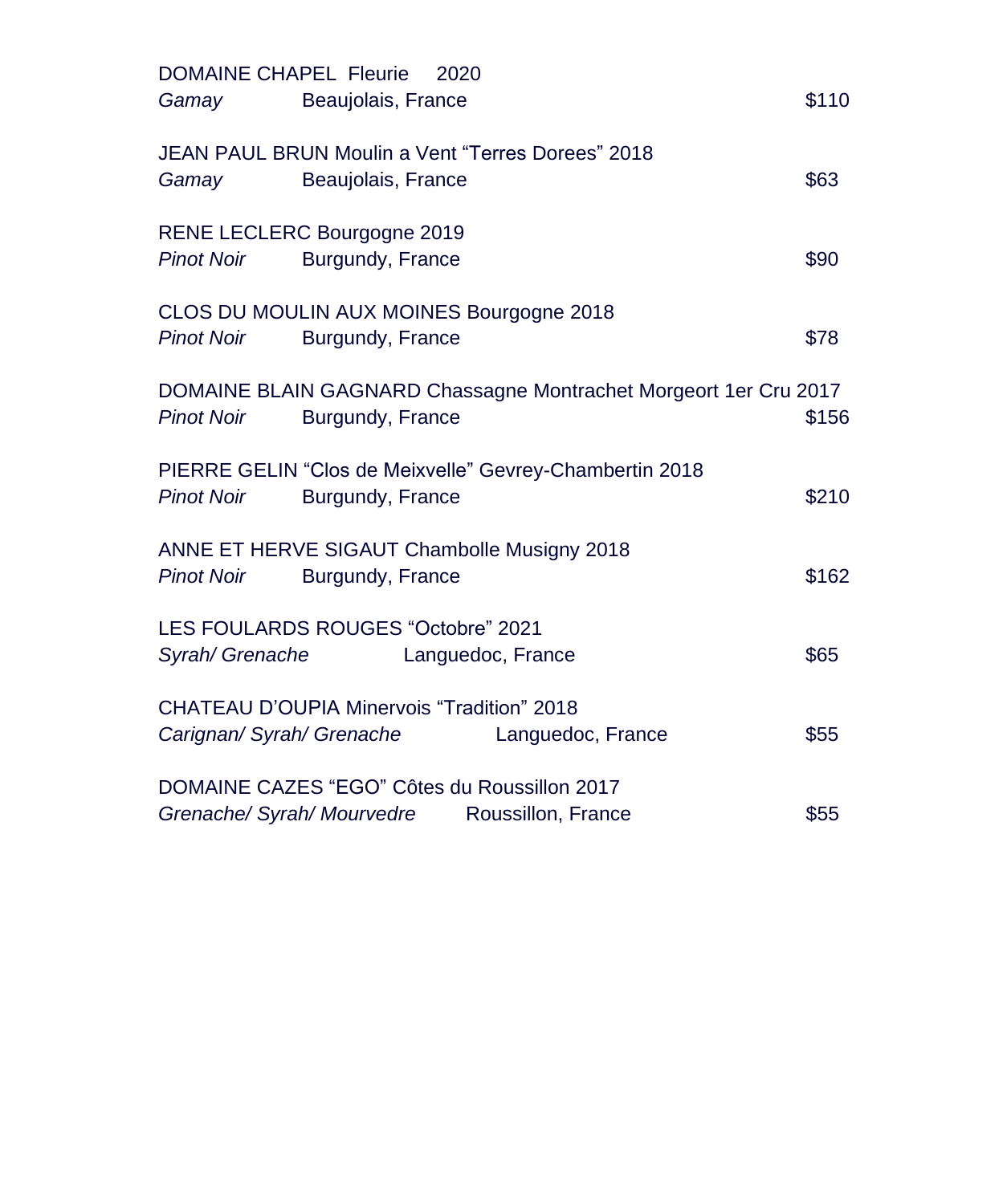| <b>DOMAINE CHAPEL Fleurie</b><br>2020<br>Beaujolais, France<br>Gamay                                      | \$110 |
|-----------------------------------------------------------------------------------------------------------|-------|
| JEAN PAUL BRUN Moulin a Vent "Terres Dorees" 2018<br>Beaujolais, France<br>Gamay                          | \$63  |
| RENE LECLERC Bourgogne 2019<br><b>Pinot Noir</b><br>Burgundy, France                                      | \$90  |
| CLOS DU MOULIN AUX MOINES Bourgogne 2018<br><b>Pinot Noir</b><br>Burgundy, France                         | \$78  |
| DOMAINE BLAIN GAGNARD Chassagne Montrachet Morgeort 1er Cru 2017<br><b>Pinot Noir</b><br>Burgundy, France | \$156 |
| PIERRE GELIN "Clos de Meixvelle" Gevrey-Chambertin 2018<br><b>Pinot Noir</b><br>Burgundy, France          | \$210 |
| ANNE ET HERVE SIGAUT Chambolle Musigny 2018<br>Burgundy, France<br><b>Pinot Noir</b>                      | \$162 |
| LES FOULARDS ROUGES "Octobre" 2021<br>Syrah/ Grenache<br>Languedoc, France                                | \$65  |
| CHATEAU D'OUPIA Minervois "Tradition" 2018<br>Carignan/Syrah/Grenache<br>Languedoc, France                | \$55  |
| DOMAINE CAZES "EGO" Côtes du Roussillon 2017<br>Grenache/ Syrah/ Mourvedre Roussillon, France             | \$55  |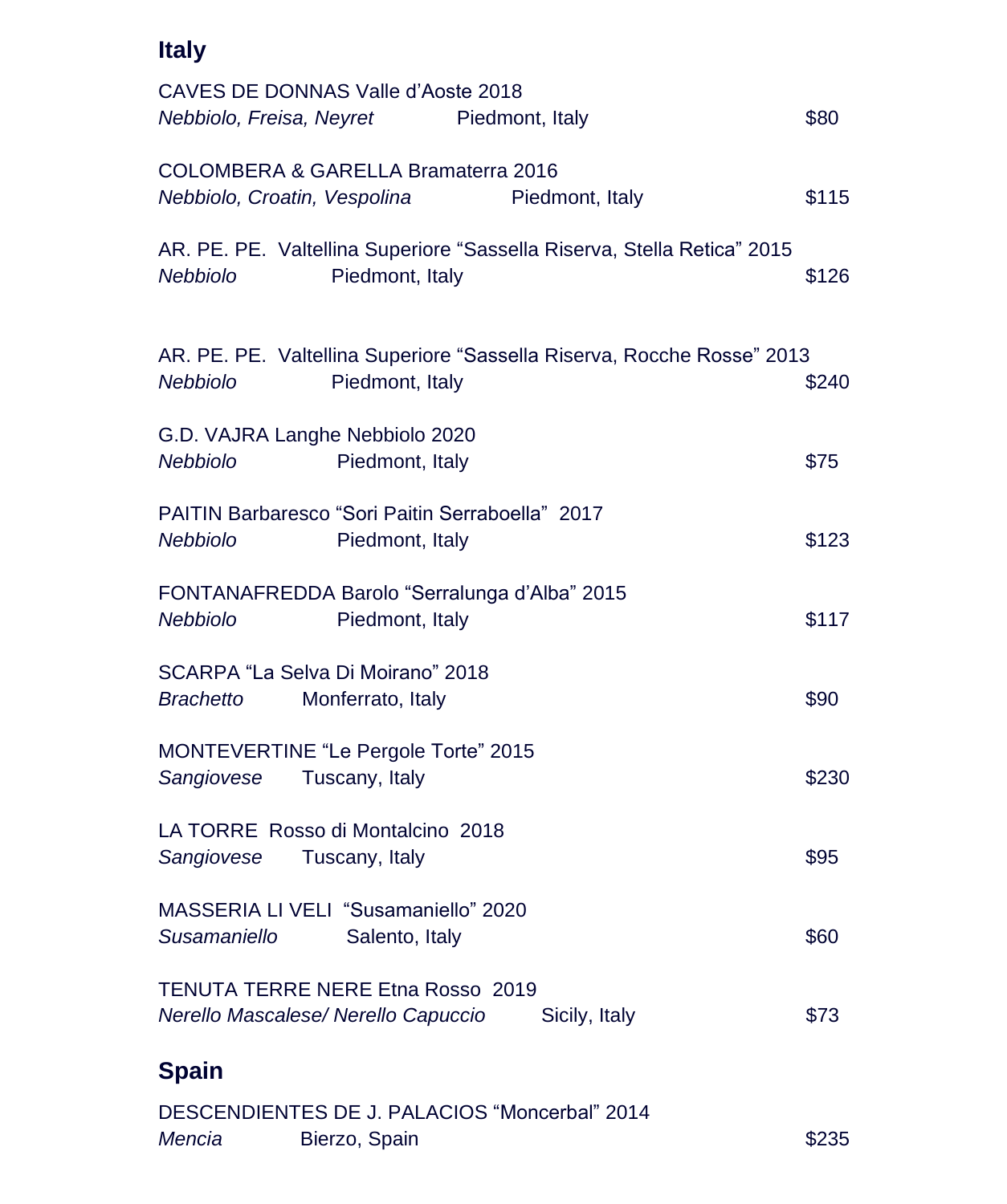| <b>Italy</b>                                                                                                  |       |
|---------------------------------------------------------------------------------------------------------------|-------|
| CAVES DE DONNAS Valle d'Aoste 2018<br>Nebbiolo, Freisa, Neyret<br>Piedmont, Italy                             | \$80  |
| COLOMBERA & GARELLA Bramaterra 2016<br>Nebbiolo, Croatin, Vespolina<br>Piedmont, Italy                        | \$115 |
| AR. PE. PE. Valtellina Superiore "Sassella Riserva, Stella Retica" 2015<br>Piedmont, Italy<br><b>Nebbiolo</b> | \$126 |
| AR. PE. PE. Valtellina Superiore "Sassella Riserva, Rocche Rosse" 2013<br>Nebbiolo<br>Piedmont, Italy         | \$240 |
| G.D. VAJRA Langhe Nebbiolo 2020<br>Nebbiolo<br>Piedmont, Italy                                                | \$75  |
| PAITIN Barbaresco "Sori Paitin Serraboella" 2017<br>Nebbiolo<br>Piedmont, Italy                               | \$123 |
| FONTANAFREDDA Barolo "Serralunga d'Alba" 2015<br>Nebbiolo<br>Piedmont, Italy                                  | \$117 |
| SCARPA "La Selva Di Moirano" 2018<br><b>Brachetto</b><br>Monferrato, Italy                                    | \$90  |
| MONTEVERTINE "Le Pergole Torte" 2015<br>Sangiovese<br>Tuscany, Italy                                          | \$230 |
| LA TORRE Rosso di Montalcino 2018<br>Sangiovese<br>Tuscany, Italy                                             | \$95  |
| MASSERIA LI VELI "Susamaniello" 2020<br>Salento, Italy<br>Susamaniello                                        | \$60  |
| <b>TENUTA TERRE NERE Etna Rosso 2019</b><br>Nerello Mascalese/Nerello Capuccio<br>Sicily, Italy               | \$73  |
| <b>Spain</b>                                                                                                  |       |

|        | DESCENDIENTES DE J. PALACIOS "Moncerbal" 2014 |       |
|--------|-----------------------------------------------|-------|
| Mencia | Bierzo, Spain                                 | \$235 |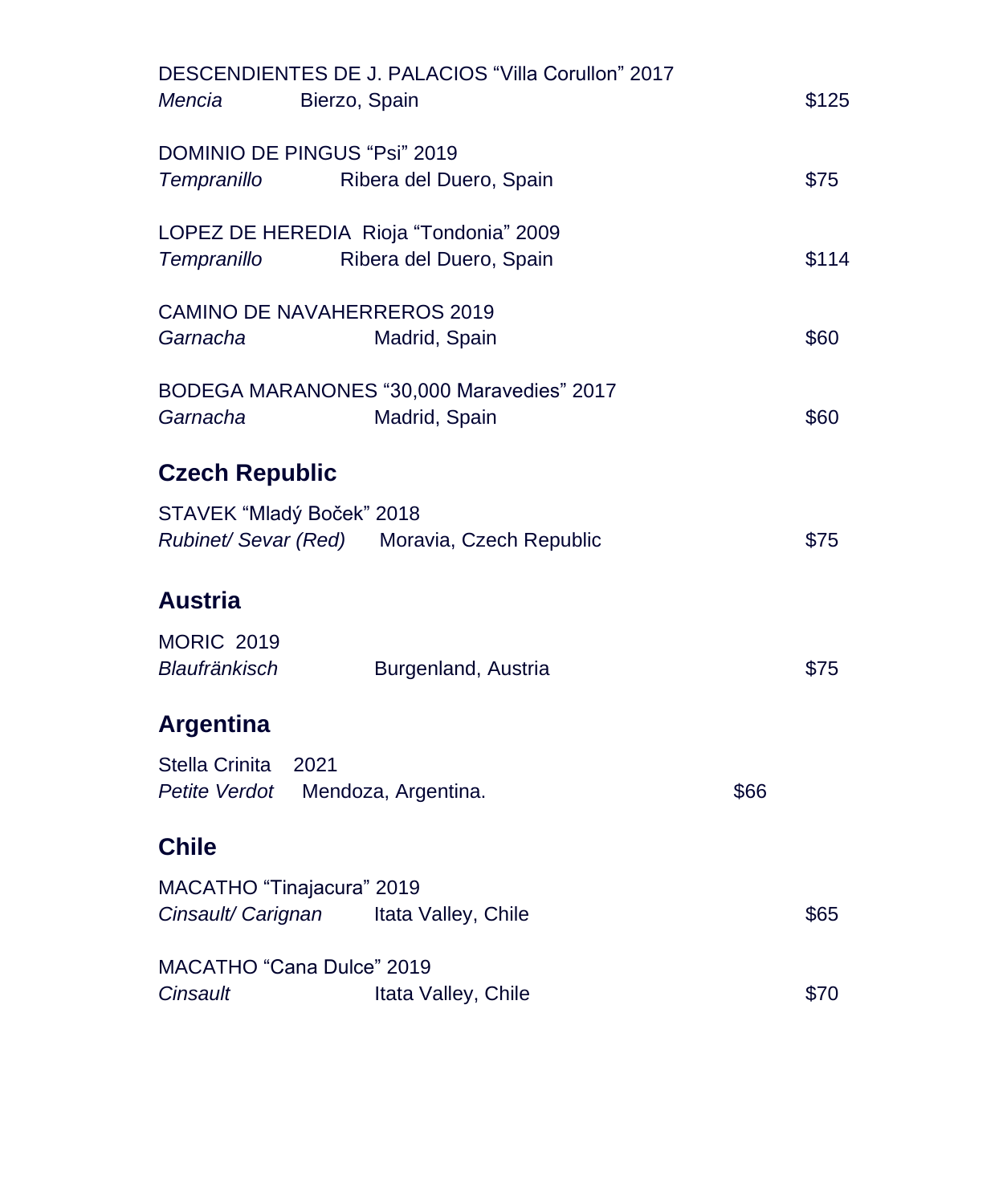| Mencia<br>Bierzo, Spain                               | DESCENDIENTES DE J. PALACIOS "Villa Corullon" 2017         |      | \$125 |
|-------------------------------------------------------|------------------------------------------------------------|------|-------|
| DOMINIO DE PINGUS "Psi" 2019<br>Tempranillo           | Ribera del Duero, Spain                                    |      | \$75  |
| LOPEZ DE HEREDIA Rioja "Tondonia" 2009<br>Tempranillo | Ribera del Duero, Spain                                    |      | \$114 |
| <b>CAMINO DE NAVAHERREROS 2019</b><br>Garnacha        | Madrid, Spain                                              |      | \$60  |
| Garnacha                                              | BODEGA MARANONES "30,000 Maravedies" 2017<br>Madrid, Spain |      | \$60  |
| <b>Czech Republic</b>                                 |                                                            |      |       |
| STAVEK "Mladý Boček" 2018                             | Rubinet/ Sevar (Red) Moravia, Czech Republic               |      | \$75  |
| <b>Austria</b>                                        |                                                            |      |       |
| <b>MORIC 2019</b><br>Blaufränkisch                    | Burgenland, Austria                                        |      | \$75  |
| <b>Argentina</b>                                      |                                                            |      |       |
| Stella Crinita<br>2021<br>Petite Verdot               | Mendoza, Argentina.                                        | \$66 |       |
| <b>Chile</b>                                          |                                                            |      |       |
| MACATHO "Tinajacura" 2019<br>Cinsault/ Carignan       | Itata Valley, Chile                                        |      | \$65  |
| MACATHO "Cana Dulce" 2019<br>Cinsault                 | Itata Valley, Chile                                        |      | \$70  |